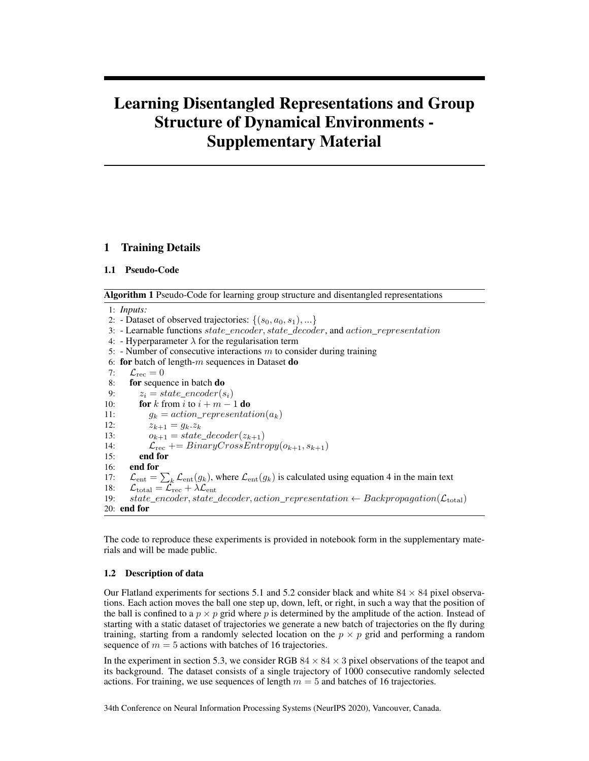# Learning Disentangled Representations and Group Structure of Dynamical Environments - Supplementary Material

# 1 Training Details

#### <span id="page-0-0"></span>1.1 Pseudo-Code

Algorithm 1 Pseudo-Code for learning group structure and disentangled representations

```
1: Inputs:
```
2: - Dataset of observed trajectories:  $\{(s_0, a_0, s_1), ...\}$ 

- 3: Learnable functions state\_encoder, state\_decoder, and action\_representation
- 4: Hyperparameter  $\lambda$  for the regularisation term

5: - Number of consecutive interactions  $m$  to consider during training

6: for batch of length- $m$  sequences in Dataset do

7:  $\mathcal{L}_{\text{rec}} = 0$ 

8: for sequence in batch do

9:  $z_i = state\_encoder(s_i)$ 

10: **for** k from i to  $i + m - 1$  **do** 

11:  $g_k = action\_representation(a_k)$ 

```
12: z_{k+1} = g_k \cdot z_k
```

```
13: o_{k+1} = state\_decoder(z_{k+1})
```

```
14: \mathcal{L}_{\text{rec}} += BinaryCrossEntropy(o_{k+1}, s_{k+1})
```
15: end for

```
16: end for
```
17:  $\mathcal{L}_{ent} = \sum_{k} \mathcal{L}_{ent}(g_k)$ , where  $\mathcal{L}_{ent}(g_k)$  is calculated using equation 4 in the main text

18:  $\mathcal{L}_{total} = \mathcal{L}_{rec} + \lambda \mathcal{L}_{ent}$ <br>19: *state encoder, state* 

```
state_encoder, state_decoder, action_representation \leftarrow Backpropagation(\mathcal{L}_{total})
20: end for
```
The code to reproduce these experiments is provided in notebook form in the supplementary materials and will be made public.

#### 1.2 Description of data

Our Flatland experiments for sections 5.1 and 5.2 consider black and white  $84 \times 84$  pixel observations. Each action moves the ball one step up, down, left, or right, in such a way that the position of the ball is confined to a  $p \times p$  grid where p is determined by the amplitude of the action. Instead of starting with a static dataset of trajectories we generate a new batch of trajectories on the fly during training, starting from a randomly selected location on the  $p \times p$  grid and performing a random sequence of  $m = 5$  actions with batches of 16 trajectories.

In the experiment in section 5.3, we consider RGB  $84 \times 84 \times 3$  pixel observations of the teapot and its background. The dataset consists of a single trajectory of 1000 consecutive randomly selected actions. For training, we use sequences of length  $m = 5$  and batches of 16 trajectories.

34th Conference on Neural Information Processing Systems (NeurIPS 2020), Vancouver, Canada.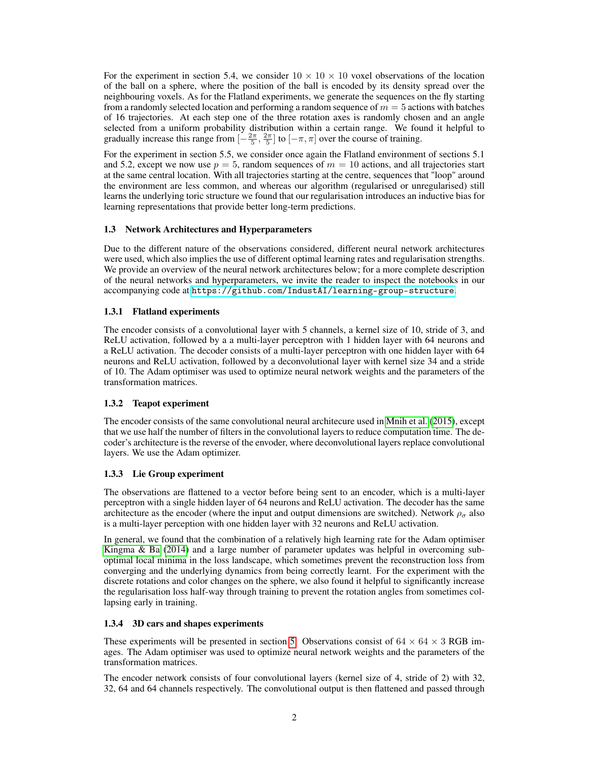For the experiment in section 5.4, we consider  $10 \times 10 \times 10$  voxel observations of the location of the ball on a sphere, where the position of the ball is encoded by its density spread over the neighbouring voxels. As for the Flatland experiments, we generate the sequences on the fly starting from a randomly selected location and performing a random sequence of  $m = 5$  actions with batches of 16 trajectories. At each step one of the three rotation axes is randomly chosen and an angle selected from a uniform probability distribution within a certain range. We found it helpful to gradually increase this range from  $\left[-\frac{2\pi}{5}, \frac{2\pi}{5}\right]$  to  $\left[-\pi, \pi\right]$  over the course of training.

For the experiment in section 5.5, we consider once again the Flatland environment of sections 5.1 and 5.2, except we now use  $p = 5$ , random sequences of  $m = 10$  actions, and all trajectories start at the same central location. With all trajectories starting at the centre, sequences that "loop" around the environment are less common, and whereas our algorithm (regularised or unregularised) still learns the underlying toric structure we found that our regularisation introduces an inductive bias for learning representations that provide better long-term predictions.

#### 1.3 Network Architectures and Hyperparameters

Due to the different nature of the observations considered, different neural network architectures were used, which also implies the use of different optimal learning rates and regularisation strengths. We provide an overview of the neural network architectures below; for a more complete description of the neural networks and hyperparameters, we invite the reader to inspect the notebooks in our accompanying code at <https://github.com/IndustAI/learning-group-structure>.

#### 1.3.1 Flatland experiments

The encoder consists of a convolutional layer with 5 channels, a kernel size of 10, stride of 3, and ReLU activation, followed by a a multi-layer perceptron with 1 hidden layer with 64 neurons and a ReLU activation. The decoder consists of a multi-layer perceptron with one hidden layer with 64 neurons and ReLU activation, followed by a deconvolutional layer with kernel size 34 and a stride of 10. The Adam optimiser was used to optimize neural network weights and the parameters of the transformation matrices.

#### 1.3.2 Teapot experiment

The encoder consists of the same convolutional neural architecure used in [Mnih et al.](#page-5-0) [\(2015\)](#page-5-0), except that we use half the number of filters in the convolutional layers to reduce computation time. The decoder's architecture is the reverse of the envoder, where deconvolutional layers replace convolutional layers. We use the Adam optimizer.

#### 1.3.3 Lie Group experiment

The observations are flattened to a vector before being sent to an encoder, which is a multi-layer perceptron with a single hidden layer of 64 neurons and ReLU activation. The decoder has the same architecture as the encoder (where the input and output dimensions are switched). Network  $\rho_{\sigma}$  also is a multi-layer perception with one hidden layer with 32 neurons and ReLU activation.

In general, we found that the combination of a relatively high learning rate for the Adam optimiser [Kingma & Ba](#page-5-1) [\(2014\)](#page-5-1) and a large number of parameter updates was helpful in overcoming suboptimal local minima in the loss landscape, which sometimes prevent the reconstruction loss from converging and the underlying dynamics from being correctly learnt. For the experiment with the discrete rotations and color changes on the sphere, we also found it helpful to significantly increase the regularisation loss half-way through training to prevent the rotation angles from sometimes collapsing early in training.

#### 1.3.4 3D cars and shapes experiments

These experiments will be presented in section [5.](#page-2-0) Observations consist of  $64 \times 64 \times 3$  RGB images. The Adam optimiser was used to optimize neural network weights and the parameters of the transformation matrices.

The encoder network consists of four convolutional layers (kernel size of 4, stride of 2) with 32, 32, 64 and 64 channels respectively. The convolutional output is then flattened and passed through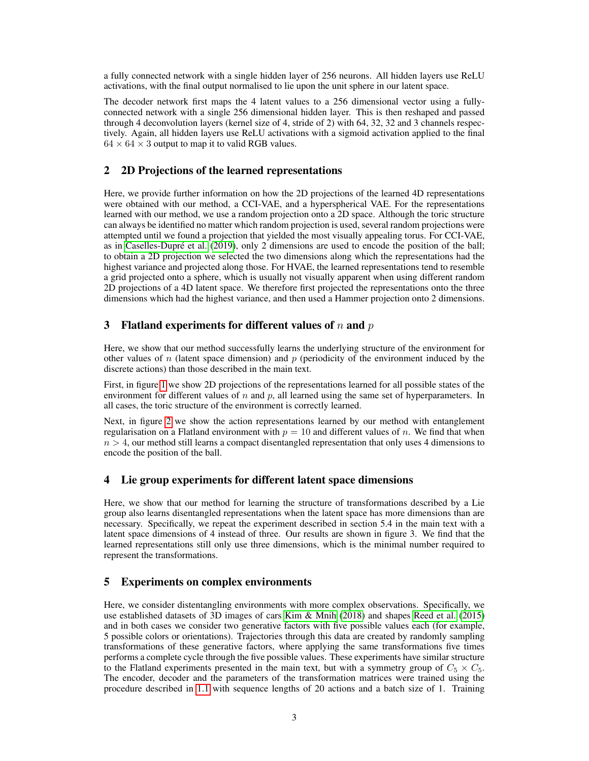a fully connected network with a single hidden layer of 256 neurons. All hidden layers use ReLU activations, with the final output normalised to lie upon the unit sphere in our latent space.

The decoder network first maps the 4 latent values to a 256 dimensional vector using a fullyconnected network with a single 256 dimensional hidden layer. This is then reshaped and passed through 4 deconvolution layers (kernel size of 4, stride of 2) with 64, 32, 32 and 3 channels respectively. Again, all hidden layers use ReLU activations with a sigmoid activation applied to the final  $64 \times 64 \times 3$  output to map it to valid RGB values.

# 2 2D Projections of the learned representations

Here, we provide further information on how the 2D projections of the learned 4D representations were obtained with our method, a CCI-VAE, and a hyperspherical VAE. For the representations learned with our method, we use a random projection onto a 2D space. Although the toric structure can always be identified no matter which random projection is used, several random projections were attempted until we found a projection that yielded the most visually appealing torus. For CCI-VAE, as in [Caselles-Dupré et al.](#page-5-2) [\(2019\)](#page-5-2), only 2 dimensions are used to encode the position of the ball; to obtain a 2D projection we selected the two dimensions along which the representations had the highest variance and projected along those. For HVAE, the learned representations tend to resemble a grid projected onto a sphere, which is usually not visually apparent when using different random 2D projections of a 4D latent space. We therefore first projected the representations onto the three dimensions which had the highest variance, and then used a Hammer projection onto 2 dimensions.

# 3 Flatland experiments for different values of  $n$  and  $p$

Here, we show that our method successfully learns the underlying structure of the environment for other values of n (latent space dimension) and p (periodicity of the environment induced by the discrete actions) than those described in the main text.

First, in figure [1](#page-3-0) we show 2D projections of the representations learned for all possible states of the environment for different values of  $n$  and  $p$ , all learned using the same set of hyperparameters. In all cases, the toric structure of the environment is correctly learned.

Next, in figure [2](#page-3-1) we show the action representations learned by our method with entanglement regularisation on a Flatland environment with  $p = 10$  and different values of n. We find that when  $n > 4$ , our method still learns a compact disentangled representation that only uses 4 dimensions to encode the position of the ball.

#### 4 Lie group experiments for different latent space dimensions

Here, we show that our method for learning the structure of transformations described by a Lie group also learns disentangled representations when the latent space has more dimensions than are necessary. Specifically, we repeat the experiment described in section 5.4 in the main text with a latent space dimensions of 4 instead of three. Our results are shown in figure 3. We find that the learned representations still only use three dimensions, which is the minimal number required to represent the transformations.

#### <span id="page-2-0"></span>5 Experiments on complex environments

Here, we consider distentangling environments with more complex observations. Specifically, we use established datasets of 3D images of cars [Kim & Mnih](#page-5-3) [\(2018\)](#page-5-3) and shapes [Reed et al.](#page-5-4) [\(2015\)](#page-5-4) and in both cases we consider two generative factors with five possible values each (for example, 5 possible colors or orientations). Trajectories through this data are created by randomly sampling transformations of these generative factors, where applying the same transformations five times performs a complete cycle through the five possible values. These experiments have similar structure to the Flatland experiments presented in the main text, but with a symmetry group of  $C_5 \times C_5$ . The encoder, decoder and the parameters of the transformation matrices were trained using the procedure described in [1.1](#page-0-0) with sequence lengths of 20 actions and a batch size of 1. Training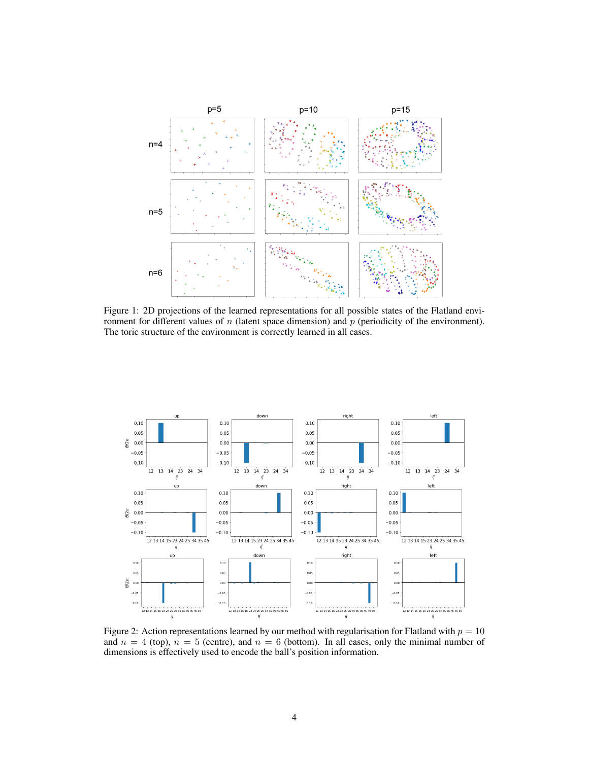<span id="page-3-0"></span>

Figure 1: 2D projections of the learned representations for all possible states of the Flatland environment for different values of  $n$  (latent space dimension) and  $p$  (periodicity of the environment). The toric structure of the environment is correctly learned in all cases.

<span id="page-3-1"></span>

Figure 2: Action representations learned by our method with regularisation for Flatland with  $p = 10$ and  $n = 4$  (top),  $n = 5$  (centre), and  $n = 6$  (bottom). In all cases, only the minimal number of dimensions is effectively used to encode the ball's position information.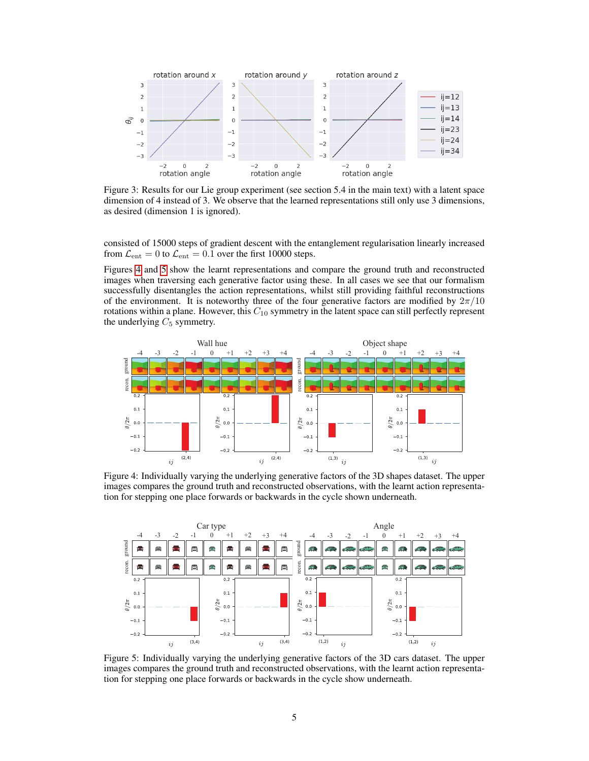

Figure 3: Results for our Lie group experiment (see section 5.4 in the main text) with a latent space dimension of 4 instead of 3. We observe that the learned representations still only use 3 dimensions, as desired (dimension 1 is ignored).

consisted of 15000 steps of gradient descent with the entanglement regularisation linearly increased from  $\mathcal{L}_{ent} = 0$  to  $\mathcal{L}_{ent} = 0.1$  over the first 10000 steps.

Figures [4](#page-4-0) and [5](#page-4-1) show the learnt representations and compare the ground truth and reconstructed images when traversing each generative factor using these. In all cases we see that our formalism successfully disentangles the action representations, whilst still providing faithful reconstructions of the environment. It is noteworthy three of the four generative factors are modified by  $2\pi/10$ rotations within a plane. However, this  $C_{10}$  symmetry in the latent space can still perfectly represent the underlying  $C_5$  symmetry.

<span id="page-4-0"></span>

Figure 4: Individually varying the underlying generative factors of the 3D shapes dataset. The upper images compares the ground truth and reconstructed observations, with the learnt action representation for stepping one place forwards or backwards in the cycle shown underneath.

<span id="page-4-1"></span>

Figure 5: Individually varying the underlying generative factors of the 3D cars dataset. The upper images compares the ground truth and reconstructed observations, with the learnt action representation for stepping one place forwards or backwards in the cycle show underneath.